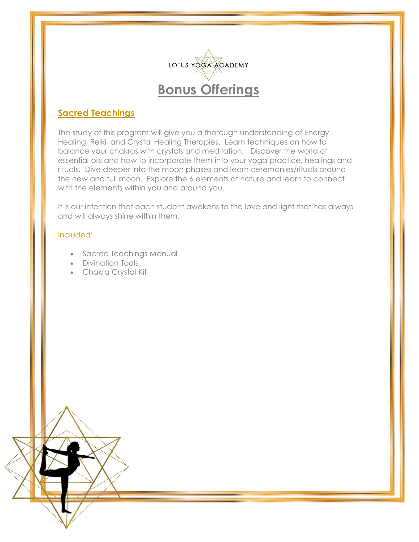

### **Sacred Teachings**

The study of this program will give you a thorough understanding of Energy Healing, Reiki, and Crystal Healing Therapies. Learn techniques on how to balance your chakras with crystals and meditation. Discover the world of essential oils and how to incorporate them into your yoga practice, healings and rituals. Dive deeper into the moon phases and learn ceremonies/rituals around the new and full moon. Explore the 6 elements of nature and learn to connect with the elements within you and around you.

It is our intention that each student awakens to the love and light that has always and will always shine within them.

#### Included:

- Sacred Teachings Manual
- Divination Tools
- Chakra Crystal Kit

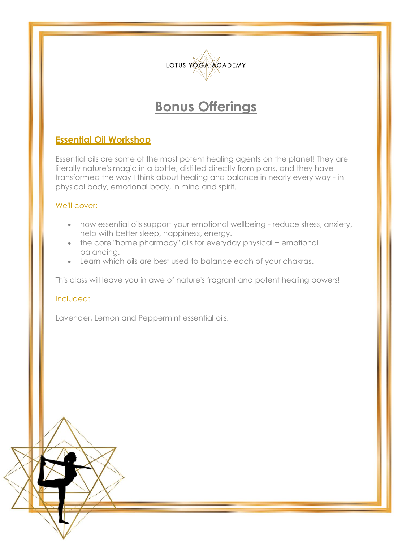

## **Bonus Offerings**

### **Essential Oil Workshop**

Essential oils are some of the most potent healing agents on the planet! They are literally nature's magic in a bottle, distilled directly from plans, and they have transformed the way I think about healing and balance in nearly every way - in physical body, emotional body, in mind and spirit.

### We'll cover:

- how essential oils support your emotional wellbeing reduce stress, anxiety, help with better sleep, happiness, energy.
- the core "home pharmacy" oils for everyday physical + emotional balancing.
- Learn which oils are best used to balance each of your chakras.

This class will leave you in awe of nature's fragrant and potent healing powers!

#### Included:

Lavender, Lemon and Peppermint essential oils.

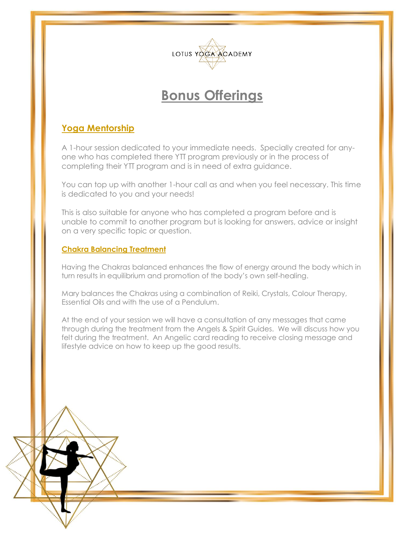

# **Bonus Offerings**

## **Yoga Mentorship**

A 1-hour session dedicated to your immediate needs. Specially created for anyone who has completed there YTT program previously or in the process of completing their YTT program and is in need of extra guidance.

You can top up with another 1-hour call as and when you feel necessary. This time is dedicated to you and your needs!

This is also suitable for anyone who has completed a program before and is unable to commit to another program but is looking for answers, advice or insight on a very specific topic or question.

#### **Chakra Balancing Treatment**

Having the Chakras balanced enhances the flow of energy around the body which in turn results in equilibrium and promotion of the body's own self-healing.

Mary balances the Chakras using a combination of Reiki, Crystals, Colour Therapy, Essential Oils and with the use of a Pendulum.

At the end of your session we will have a consultation of any messages that came through during the treatment from the Angels & Spirit Guides. We will discuss how you felt during the treatment. An Angelic card reading to receive closing message and lifestyle advice on how to keep up the good results.